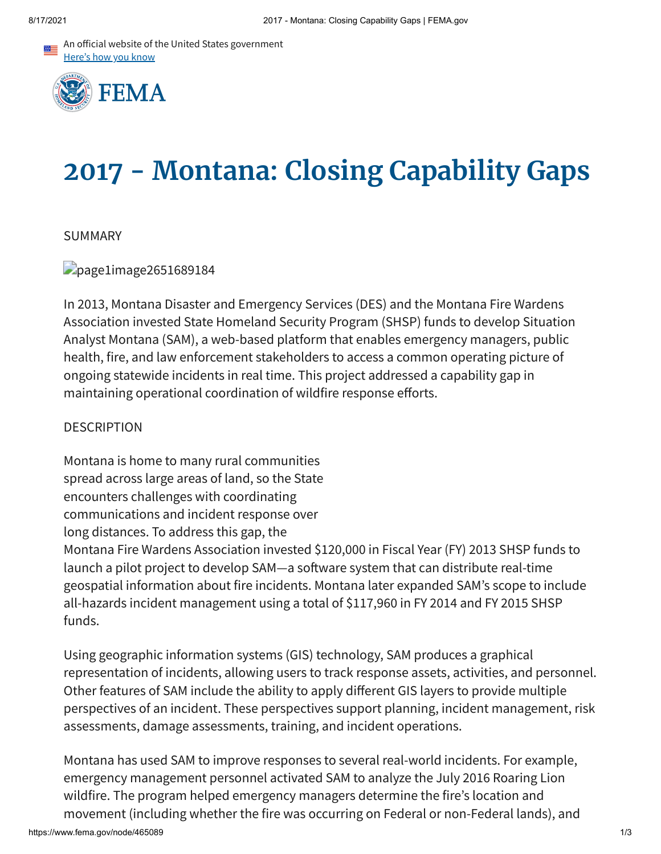An official website of the United States government Here's how you know



# **2017 - Montana: Closing Capability Gaps**

## SUMMARY

page1image2651689184

In 2013, Montana Disaster and Emergency Services (DES) and the Montana Fire Wardens Association invested State Homeland Security Program (SHSP) funds to develop Situation Analyst Montana (SAM), a web-based platform that enables emergency managers, public health, fire, and law enforcement stakeholders to access a common operating picture of ongoing statewide incidents in real time. This project addressed a capability gap in maintaining operational coordination of wildfire response efforts.

## DESCRIPTION

Montana is home to many rural communities spread across large areas of land, so the State encounters challenges with coordinating communications and incident response over long distances. To address this gap, the Montana Fire Wardens Association invested \$120,000 in Fiscal Year (FY) 2013 SHSP funds to launch a pilot project to develop SAM—a software system that can distribute real-time geospatial information about fire incidents. Montana later expanded SAM's scope to include all-hazards incident management using a total of \$117,960 in FY 2014 and FY 2015 SHSP funds.

Using geographic information systems (GIS) technology, SAM produces a graphical representation of incidents, allowing users to track response assets, activities, and personnel. Other features of SAM include the ability to apply different GIS layers to provide multiple perspectives of an incident. These perspectives support planning, incident management, risk assessments, damage assessments, training, and incident operations.

Montana has used SAM to improve responses to several real-world incidents. For example, emergency management personnel activated SAM to analyze the July 2016 Roaring Lion wildfire. The program helped emergency managers determine the fire's location and movement (including whether the fire was occurring on Federal or non-Federal lands), and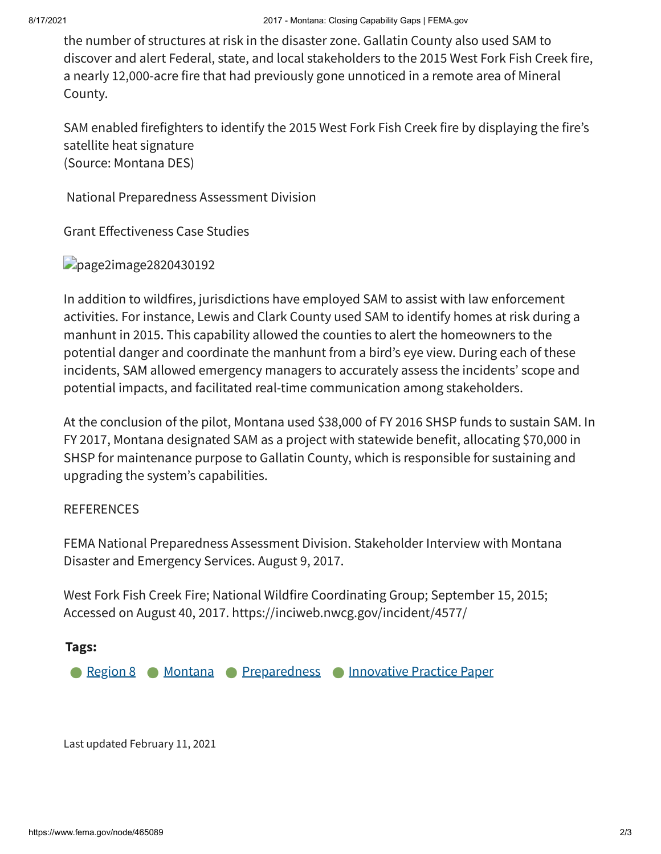the number of structures at risk in the disaster zone. Gallatin County also used SAM to discover and alert Federal, state, and local stakeholders to the 2015 West Fork Fish Creek fire, a nearly 12,000-acre fire that had previously gone unnoticed in a remote area of Mineral County.

SAM enabled firefighters to identify the 2015 West Fork Fish Creek fire by displaying the fire's satellite heat signature (Source: Montana DES)

National Preparedness Assessment Division

Grant Effectiveness Case Studies

## page2image2820430192

In addition to wildfires, jurisdictions have employed SAM to assist with law enforcement activities. For instance, Lewis and Clark County used SAM to identify homes at risk during a manhunt in 2015. This capability allowed the counties to alert the homeowners to the potential danger and coordinate the manhunt from a bird's eye view. During each of these incidents, SAM allowed emergency managers to accurately assess the incidents' scope and potential impacts, and facilitated real-time communication among stakeholders.

At the conclusion of the pilot, Montana used \$38,000 of FY 2016 SHSP funds to sustain SAM. In FY 2017, Montana designated SAM as a project with statewide benefit, allocating \$70,000 in SHSP for maintenance purpose to Gallatin County, which is responsible for sustaining and upgrading the system's capabilities.

## REFERENCES

FEMA National Preparedness Assessment Division. Stakeholder Interview with Montana Disaster and Emergency Services. August 9, 2017.

West Fork Fish Creek Fire; National Wildfire Coordinating Group; September 15, 2015; Accessed on August 40, 2017. https://inciweb.nwcg.gov/incident/4577/

## **Tags:**

**[Region](https://www.fema.gov/content?type=All&field_related_locations_target_id=49211) 8 [Montana](https://www.fema.gov/content?type=All&field_related_locations_target_id=49322) [Preparedness](https://www.fema.gov/content?type=All&field_keywords_target_id=49909) [Innovative](https://www.fema.gov/content?type=All&field_keywords_target_id=50658) Practice Paper** 

Last updated February 11, 2021